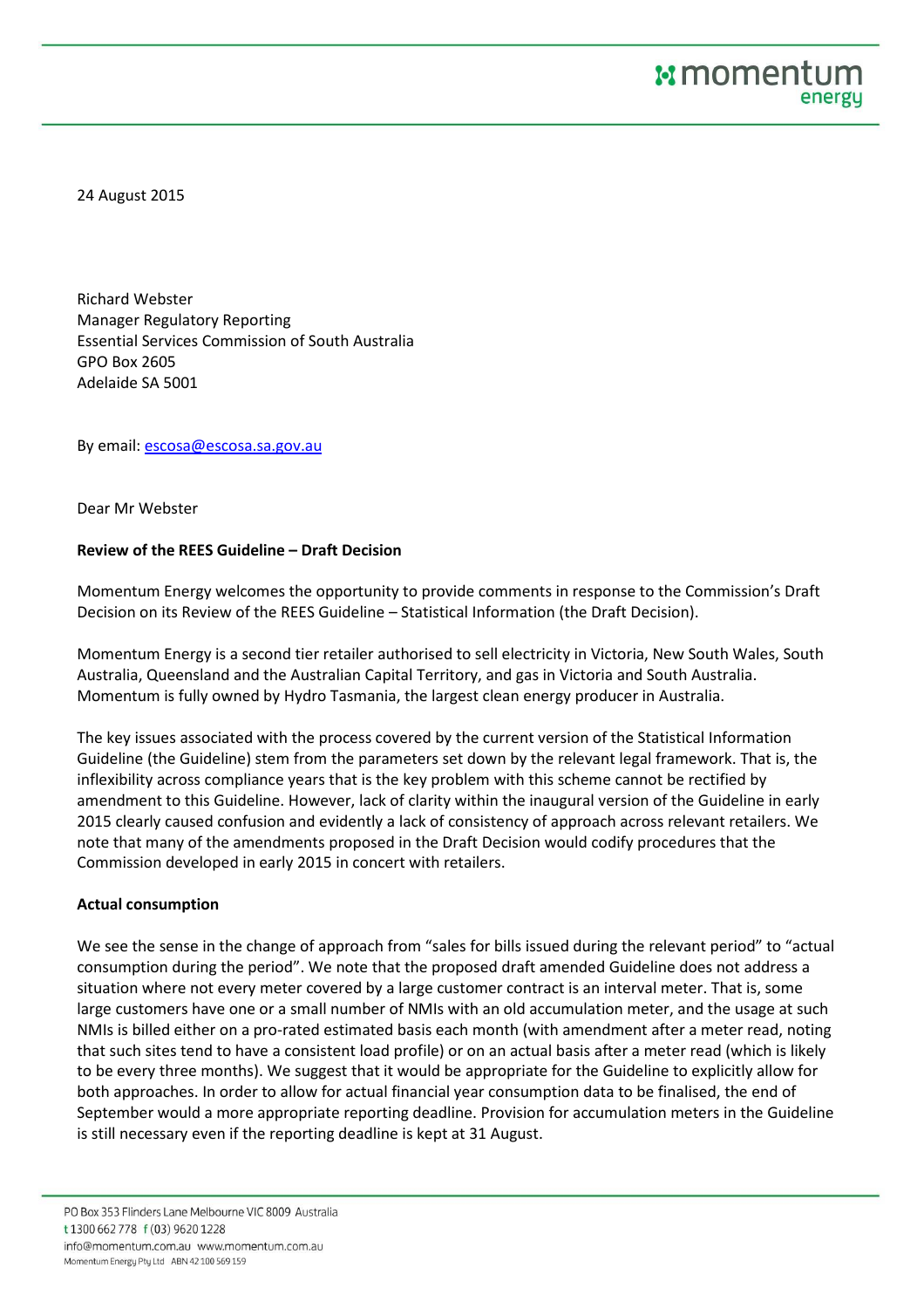24 August 2015

Richard Webster Manager Regulatory Reporting Essential Services Commission of South Australia GPO Box 2605 Adelaide SA 5001

By email: escosa@escosa.sa.gov.au

Dear Mr Webster

## **Review of the REES Guideline – Draft Decision**

Momentum Energy welcomes the opportunity to provide comments in response to the Commission's Draft Decision on its Review of the REES Guideline – Statistical Information (the Draft Decision).

Momentum Energy is a second tier retailer authorised to sell electricity in Victoria, New South Wales, South Australia, Queensland and the Australian Capital Territory, and gas in Victoria and South Australia. Momentum is fully owned by Hydro Tasmania, the largest clean energy producer in Australia.

The key issues associated with the process covered by the current version of the Statistical Information Guideline (the Guideline) stem from the parameters set down by the relevant legal framework. That is, the inflexibility across compliance years that is the key problem with this scheme cannot be rectified by amendment to this Guideline. However, lack of clarity within the inaugural version of the Guideline in early 2015 clearly caused confusion and evidently a lack of consistency of approach across relevant retailers. We note that many of the amendments proposed in the Draft Decision would codify procedures that the Commission developed in early 2015 in concert with retailers.

## **Actual consumption**

We see the sense in the change of approach from "sales for bills issued during the relevant period" to "actual consumption during the period". We note that the proposed draft amended Guideline does not address a situation where not every meter covered by a large customer contract is an interval meter. That is, some large customers have one or a small number of NMIs with an old accumulation meter, and the usage at such NMIs is billed either on a pro-rated estimated basis each month (with amendment after a meter read, noting that such sites tend to have a consistent load profile) or on an actual basis after a meter read (which is likely to be every three months). We suggest that it would be appropriate for the Guideline to explicitly allow for both approaches. In order to allow for actual financial year consumption data to be finalised, the end of September would a more appropriate reporting deadline. Provision for accumulation meters in the Guideline is still necessary even if the reporting deadline is kept at 31 August.